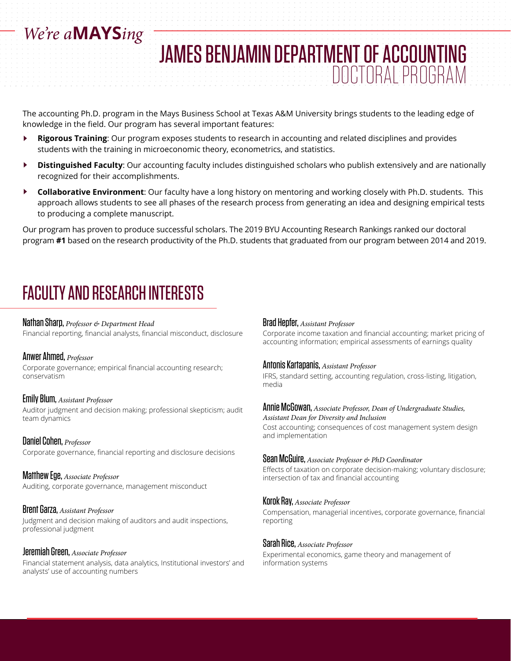# *We're a***MAYS***ing*

The accounting Ph.D. program in the Mays Business School at Texas A&M University brings students to the leading edge of knowledge in the field. Our program has several important features:

- **Rigorous Training**: Our program exposes students to research in accounting and related disciplines and provides  $\blacktriangleright$ students with the training in microeconomic theory, econometrics, and statistics.
- $\blacktriangleright$ **Distinguished Faculty**: Our accounting faculty includes distinguished scholars who publish extensively and are nationally recognized for their accomplishments.
- $\blacktriangleright$ **Collaborative Environment**: Our faculty have a long history on mentoring and working closely with Ph.D. students. This approach allows students to see all phases of the research process from generating an idea and designing empirical tests to producing a complete manuscript.

Our program has proven to produce successful scholars. The 2019 BYU Accounting Research Rankings ranked our doctoral program **#1** based on the research productivity of the Ph.D. students that graduated from our program between 2014 and 2019.

# FACULTY AND RESEARCH INTERESTS

## Nathan Sharp, *Professor & Department Head*

Financial reporting, financial analysts, financial misconduct, disclosure

### Anwer Ahmed, *Professor*

Corporate governance; empirical financial accounting research; conservatism

### Emily Blum, *Assistant Professor*

Auditor judgment and decision making; professional skepticism; audit team dynamics

Daniel Cohen, *Professor* Corporate governance, financial reporting and disclosure decisions

Matthew Ege, *Associate Professor* Auditing, corporate governance, management misconduct

## Brent Garza, *Assistant Professor*

Judgment and decision making of auditors and audit inspections, professional judgment

### Jeremiah Green, *Associate Professor*

Financial statement analysis, data analytics, Institutional investors' and analysts' use of accounting numbers

## Brad Hepfer, *Assistant Professor*

JAMES BENJAMIN DEPARTMENT OF ACCOUNTING

Corporate income taxation and financial accounting; market pricing of accounting information; empirical assessments of earnings quality

DOCTORAL PROGRAM

### Antonis Kartapanis, *Assistant Professor*

IFRS, standard setting, accounting regulation, cross-listing, litigation, media

#### Annie McGowan, *Associate Professor, Dean of Undergraduate Studies, Assistant Dean for Diversity and Inclusion*

Cost accounting; consequences of cost management system design and implementation

### Sean McGuire, *Associate Professor & PhD Coordinator*

Effects of taxation on corporate decision-making; voluntary disclosure; intersection of tax and financial accounting

## Korok Ray, *Associate Professor*

Compensation, managerial incentives, corporate governance, financial reporting

## Sarah Rice, *Associate Professor*

Experimental economics, game theory and management of information systems